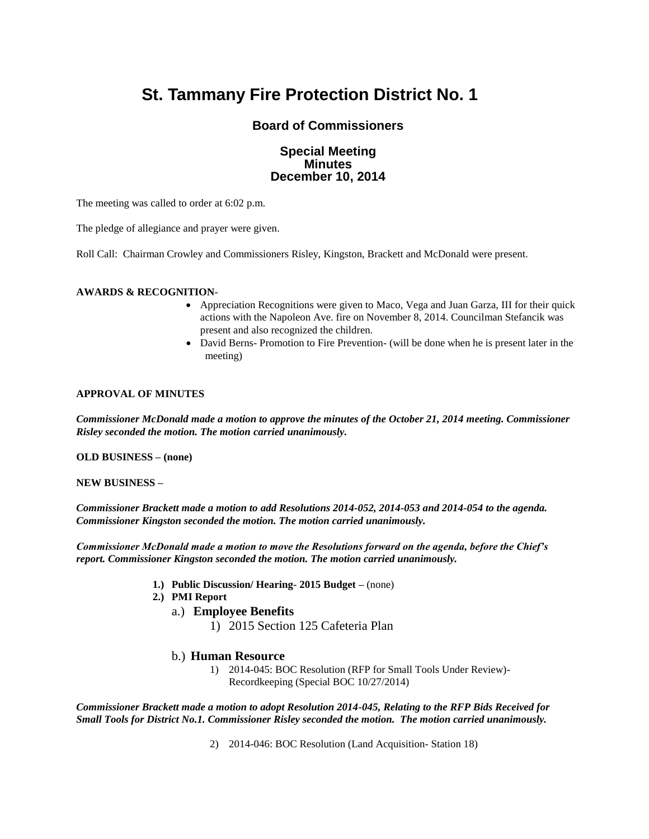# **St. Tammany Fire Protection District No. 1**

# **Board of Commissioners**

# **Special Meeting Minutes December 10, 2014**

The meeting was called to order at 6:02 p.m.

The pledge of allegiance and prayer were given.

Roll Call: Chairman Crowley and Commissioners Risley, Kingston, Brackett and McDonald were present.

#### **AWARDS & RECOGNITION**-

- Appreciation Recognitions were given to Maco, Vega and Juan Garza, III for their quick actions with the Napoleon Ave. fire on November 8, 2014. Councilman Stefancik was present and also recognized the children.
- David Berns- Promotion to Fire Prevention- (will be done when he is present later in the meeting)

#### **APPROVAL OF MINUTES**

*Commissioner McDonald made a motion to approve the minutes of the October 21, 2014 meeting. Commissioner Risley seconded the motion. The motion carried unanimously.*

**OLD BUSINESS – (none)**

**NEW BUSINESS –**

*Commissioner Brackett made a motion to add Resolutions 2014-052, 2014-053 and 2014-054 to the agenda. Commissioner Kingston seconded the motion. The motion carried unanimously.*

*Commissioner McDonald made a motion to move the Resolutions forward on the agenda, before the Chief's report. Commissioner Kingston seconded the motion. The motion carried unanimously.*

- **1.) Public Discussion/ Hearing- 2015 Budget –** (none)
- **2.) PMI Report**
	- a.) **Employee Benefits**
		- 1) 2015 Section 125 Cafeteria Plan

# b.) **Human Resource**

1) 2014-045: BOC Resolution (RFP for Small Tools Under Review)- Recordkeeping (Special BOC 10/27/2014)

*Commissioner Brackett made a motion to adopt Resolution 2014-045, Relating to the RFP Bids Received for Small Tools for District No.1. Commissioner Risley seconded the motion. The motion carried unanimously.*

2) 2014-046: BOC Resolution (Land Acquisition- Station 18)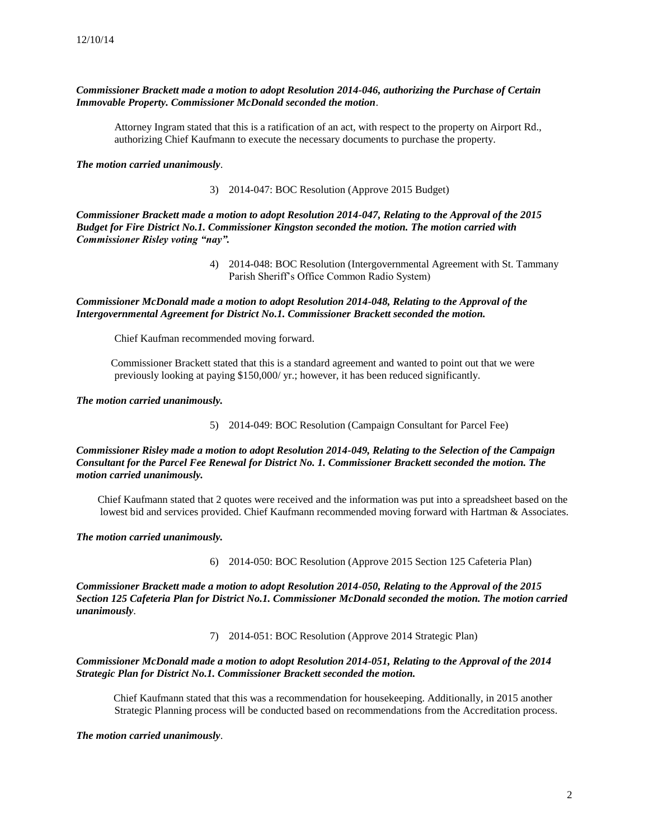#### *Commissioner Brackett made a motion to adopt Resolution 2014-046, authorizing the Purchase of Certain Immovable Property. Commissioner McDonald seconded the motion*.

Attorney Ingram stated that this is a ratification of an act, with respect to the property on Airport Rd., authorizing Chief Kaufmann to execute the necessary documents to purchase the property.

*The motion carried unanimously*.

3) 2014-047: BOC Resolution (Approve 2015 Budget)

*Commissioner Brackett made a motion to adopt Resolution 2014-047, Relating to the Approval of the 2015 Budget for Fire District No.1. Commissioner Kingston seconded the motion. The motion carried with Commissioner Risley voting "nay".*

> 4) 2014-048: BOC Resolution (Intergovernmental Agreement with St. Tammany Parish Sheriff's Office Common Radio System)

*Commissioner McDonald made a motion to adopt Resolution 2014-048, Relating to the Approval of the Intergovernmental Agreement for District No.1. Commissioner Brackett seconded the motion.* 

Chief Kaufman recommended moving forward.

Commissioner Brackett stated that this is a standard agreement and wanted to point out that we were previously looking at paying \$150,000/ yr.; however, it has been reduced significantly.

*The motion carried unanimously.*

5) 2014-049: BOC Resolution (Campaign Consultant for Parcel Fee)

*Commissioner Risley made a motion to adopt Resolution 2014-049, Relating to the Selection of the Campaign Consultant for the Parcel Fee Renewal for District No. 1. Commissioner Brackett seconded the motion. The motion carried unanimously.*

Chief Kaufmann stated that 2 quotes were received and the information was put into a spreadsheet based on the lowest bid and services provided. Chief Kaufmann recommended moving forward with Hartman & Associates.

*The motion carried unanimously.*

6) 2014-050: BOC Resolution (Approve 2015 Section 125 Cafeteria Plan)

*Commissioner Brackett made a motion to adopt Resolution 2014-050, Relating to the Approval of the 2015 Section 125 Cafeteria Plan for District No.1. Commissioner McDonald seconded the motion. The motion carried unanimously*.

7) 2014-051: BOC Resolution (Approve 2014 Strategic Plan)

*Commissioner McDonald made a motion to adopt Resolution 2014-051, Relating to the Approval of the 2014 Strategic Plan for District No.1. Commissioner Brackett seconded the motion.* 

 Chief Kaufmann stated that this was a recommendation for housekeeping. Additionally, in 2015 another Strategic Planning process will be conducted based on recommendations from the Accreditation process.

*The motion carried unanimously*.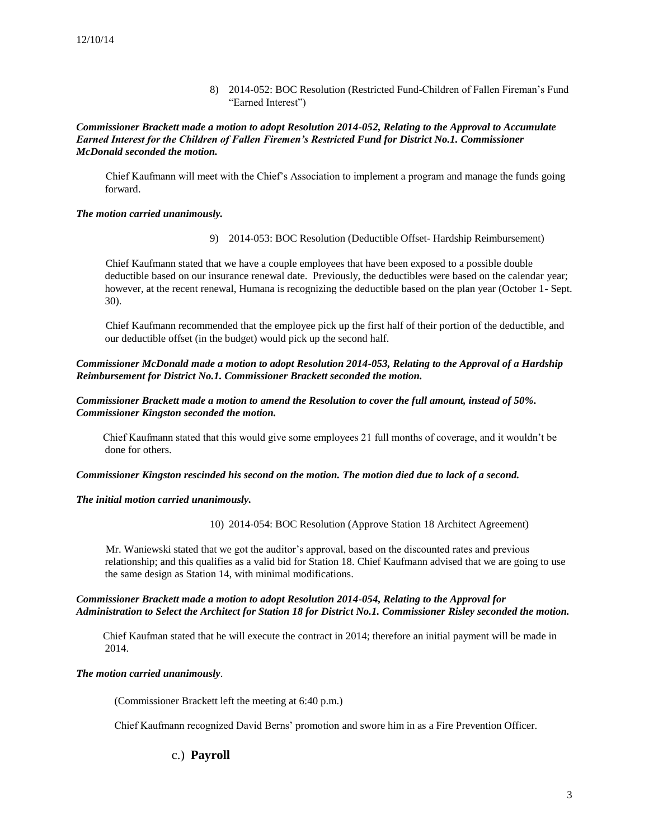8) 2014-052: BOC Resolution (Restricted Fund-Children of Fallen Fireman's Fund "Earned Interest")

*Commissioner Brackett made a motion to adopt Resolution 2014-052, Relating to the Approval to Accumulate Earned Interest for the Children of Fallen Firemen's Restricted Fund for District No.1. Commissioner McDonald seconded the motion.*

Chief Kaufmann will meet with the Chief's Association to implement a program and manage the funds going forward.

#### *The motion carried unanimously.*

9) 2014-053: BOC Resolution (Deductible Offset- Hardship Reimbursement)

 Chief Kaufmann stated that we have a couple employees that have been exposed to a possible double deductible based on our insurance renewal date. Previously, the deductibles were based on the calendar year; however, at the recent renewal, Humana is recognizing the deductible based on the plan year (October 1- Sept. 30).

 Chief Kaufmann recommended that the employee pick up the first half of their portion of the deductible, and our deductible offset (in the budget) would pick up the second half.

*Commissioner McDonald made a motion to adopt Resolution 2014-053, Relating to the Approval of a Hardship Reimbursement for District No.1. Commissioner Brackett seconded the motion.* 

*Commissioner Brackett made a motion to amend the Resolution to cover the full amount, instead of 50%. Commissioner Kingston seconded the motion.*

Chief Kaufmann stated that this would give some employees 21 full months of coverage, and it wouldn't be done for others.

#### *Commissioner Kingston rescinded his second on the motion. The motion died due to lack of a second.*

#### *The initial motion carried unanimously.*

10) 2014-054: BOC Resolution (Approve Station 18 Architect Agreement)

 Mr. Waniewski stated that we got the auditor's approval, based on the discounted rates and previous relationship; and this qualifies as a valid bid for Station 18. Chief Kaufmann advised that we are going to use the same design as Station 14, with minimal modifications.

# *Commissioner Brackett made a motion to adopt Resolution 2014-054, Relating to the Approval for Administration to Select the Architect for Station 18 for District No.1. Commissioner Risley seconded the motion.*

 Chief Kaufman stated that he will execute the contract in 2014; therefore an initial payment will be made in 2014.

# *The motion carried unanimously*.

(Commissioner Brackett left the meeting at 6:40 p.m.)

Chief Kaufmann recognized David Berns' promotion and swore him in as a Fire Prevention Officer.

# c.) **Payroll**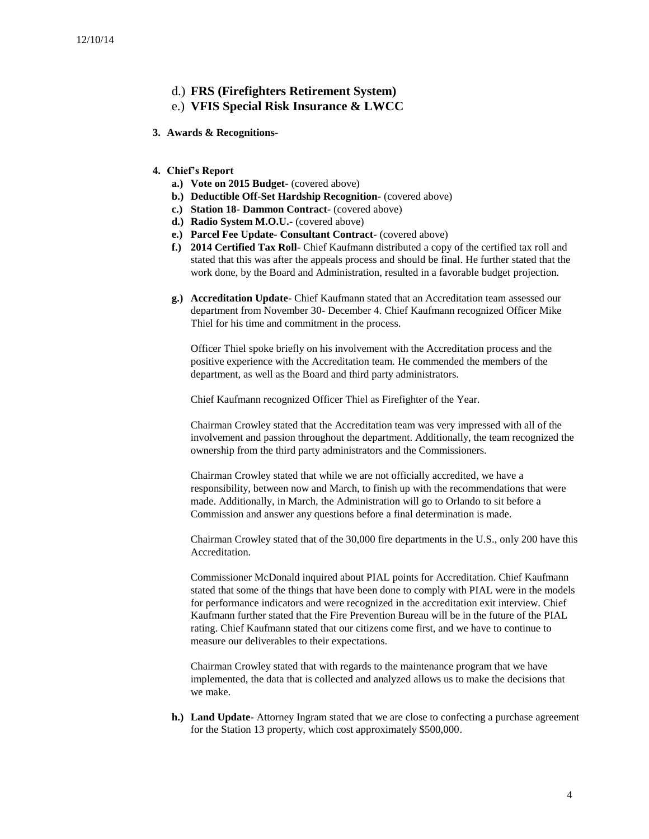- d.) **FRS (Firefighters Retirement System)**
- e.) **VFIS Special Risk Insurance & LWCC**
- **3. Awards & Recognitions-**
- **4. Chief's Report**
	- **a.) Vote on 2015 Budget-** (covered above)
	- **b.) Deductible Off-Set Hardship Recognition-** (covered above)
	- **c.) Station 18- Dammon Contract-** (covered above)
	- **d.) Radio System M.O.U.-** (covered above)
	- **e.) Parcel Fee Update- Consultant Contract-** (covered above)
	- **f.) 2014 Certified Tax Roll-** Chief Kaufmann distributed a copy of the certified tax roll and stated that this was after the appeals process and should be final. He further stated that the work done, by the Board and Administration, resulted in a favorable budget projection.
	- **g.) Accreditation Update-** Chief Kaufmann stated that an Accreditation team assessed our department from November 30- December 4. Chief Kaufmann recognized Officer Mike Thiel for his time and commitment in the process.

Officer Thiel spoke briefly on his involvement with the Accreditation process and the positive experience with the Accreditation team. He commended the members of the department, as well as the Board and third party administrators.

Chief Kaufmann recognized Officer Thiel as Firefighter of the Year.

Chairman Crowley stated that the Accreditation team was very impressed with all of the involvement and passion throughout the department. Additionally, the team recognized the ownership from the third party administrators and the Commissioners.

Chairman Crowley stated that while we are not officially accredited, we have a responsibility, between now and March, to finish up with the recommendations that were made. Additionally, in March, the Administration will go to Orlando to sit before a Commission and answer any questions before a final determination is made.

Chairman Crowley stated that of the 30,000 fire departments in the U.S., only 200 have this **Accreditation** 

Commissioner McDonald inquired about PIAL points for Accreditation. Chief Kaufmann stated that some of the things that have been done to comply with PIAL were in the models for performance indicators and were recognized in the accreditation exit interview. Chief Kaufmann further stated that the Fire Prevention Bureau will be in the future of the PIAL rating. Chief Kaufmann stated that our citizens come first, and we have to continue to measure our deliverables to their expectations.

Chairman Crowley stated that with regards to the maintenance program that we have implemented, the data that is collected and analyzed allows us to make the decisions that we make.

**h.) Land Update-** Attorney Ingram stated that we are close to confecting a purchase agreement for the Station 13 property, which cost approximately \$500,000.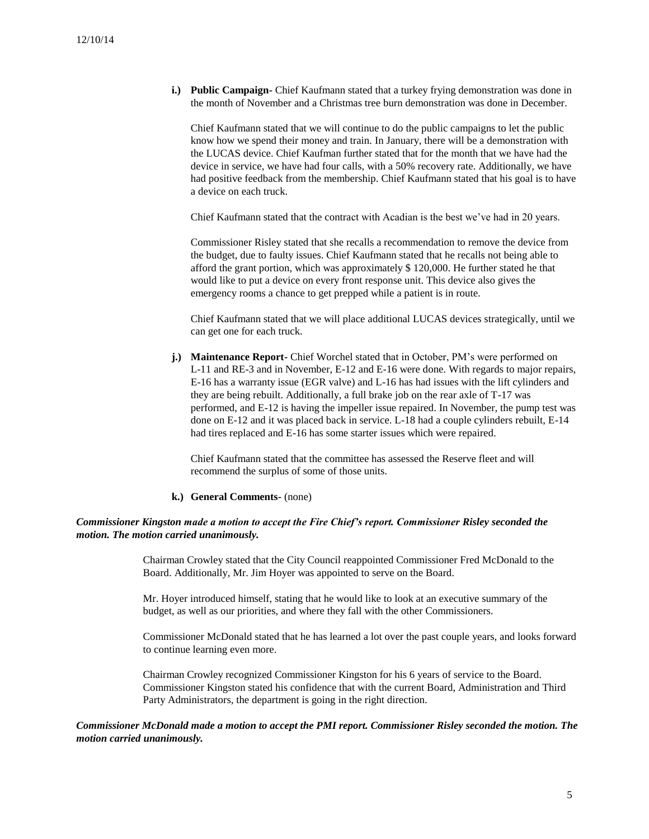**i.) Public Campaign-** Chief Kaufmann stated that a turkey frying demonstration was done in the month of November and a Christmas tree burn demonstration was done in December.

Chief Kaufmann stated that we will continue to do the public campaigns to let the public know how we spend their money and train. In January, there will be a demonstration with the LUCAS device. Chief Kaufman further stated that for the month that we have had the device in service, we have had four calls, with a 50% recovery rate. Additionally, we have had positive feedback from the membership. Chief Kaufmann stated that his goal is to have a device on each truck.

Chief Kaufmann stated that the contract with Acadian is the best we've had in 20 years.

Commissioner Risley stated that she recalls a recommendation to remove the device from the budget, due to faulty issues. Chief Kaufmann stated that he recalls not being able to afford the grant portion, which was approximately \$ 120,000. He further stated he that would like to put a device on every front response unit. This device also gives the emergency rooms a chance to get prepped while a patient is in route.

Chief Kaufmann stated that we will place additional LUCAS devices strategically, until we can get one for each truck.

**j.) Maintenance Report-** Chief Worchel stated that in October, PM's were performed on L-11 and RE-3 and in November, E-12 and E-16 were done. With regards to major repairs, E-16 has a warranty issue (EGR valve) and L-16 has had issues with the lift cylinders and they are being rebuilt. Additionally, a full brake job on the rear axle of T-17 was performed, and E-12 is having the impeller issue repaired. In November, the pump test was done on E-12 and it was placed back in service. L-18 had a couple cylinders rebuilt, E-14 had tires replaced and E-16 has some starter issues which were repaired.

Chief Kaufmann stated that the committee has assessed the Reserve fleet and will recommend the surplus of some of those units.

#### **k.) General Comments-** (none)

#### *Commissioner Kingston made a motion to accept the Fire Chief's report. Commissioner Risley seconded the motion. The motion carried unanimously.*

Chairman Crowley stated that the City Council reappointed Commissioner Fred McDonald to the Board. Additionally, Mr. Jim Hoyer was appointed to serve on the Board.

Mr. Hoyer introduced himself, stating that he would like to look at an executive summary of the budget, as well as our priorities, and where they fall with the other Commissioners.

Commissioner McDonald stated that he has learned a lot over the past couple years, and looks forward to continue learning even more.

Chairman Crowley recognized Commissioner Kingston for his 6 years of service to the Board. Commissioner Kingston stated his confidence that with the current Board, Administration and Third Party Administrators, the department is going in the right direction.

#### *Commissioner McDonald made a motion to accept the PMI report. Commissioner Risley seconded the motion. The motion carried unanimously.*